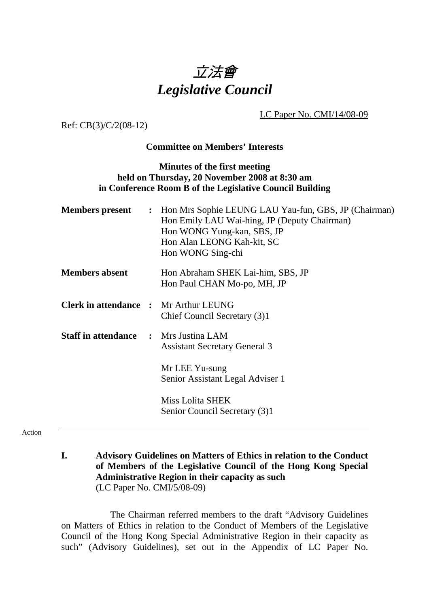## 立法會 *Legislative Council*

LC Paper No. CMI/14/08-09

Ref: CB(3)/C/2(08-12)

## **Committee on Members' Interests**

## **Minutes of the first meeting held on Thursday, 20 November 2008 at 8:30 am in Conference Room B of the Legislative Council Building**

| <b>Members</b> present                       | $\ddot{\cdot}$ | Hon Mrs Sophie LEUNG LAU Yau-fun, GBS, JP (Chairman)<br>Hon Emily LAU Wai-hing, JP (Deputy Chairman)<br>Hon WONG Yung-kan, SBS, JP<br>Hon Alan LEONG Kah-kit, SC<br>Hon WONG Sing-chi |
|----------------------------------------------|----------------|---------------------------------------------------------------------------------------------------------------------------------------------------------------------------------------|
| <b>Members absent</b>                        |                | Hon Abraham SHEK Lai-him, SBS, JP<br>Hon Paul CHAN Mo-po, MH, JP                                                                                                                      |
| <b>Clerk in attendance :</b>                 |                | Mr Arthur LEUNG<br>Chief Council Secretary (3)1                                                                                                                                       |
| <b>Staff in attendance :</b> Mrs Justina LAM |                | <b>Assistant Secretary General 3</b>                                                                                                                                                  |
|                                              |                | Mr LEE Yu-sung<br>Senior Assistant Legal Adviser 1                                                                                                                                    |
|                                              |                | Miss Lolita SHEK<br>Senior Council Secretary (3)1                                                                                                                                     |

## Action

**I. Advisory Guidelines on Matters of Ethics in relation to the Conduct of Members of the Legislative Council of the Hong Kong Special Administrative Region in their capacity as such**  (LC Paper No. CMI/5/08-09)

 The Chairman referred members to the draft "Advisory Guidelines on Matters of Ethics in relation to the Conduct of Members of the Legislative Council of the Hong Kong Special Administrative Region in their capacity as such" (Advisory Guidelines), set out in the Appendix of LC Paper No.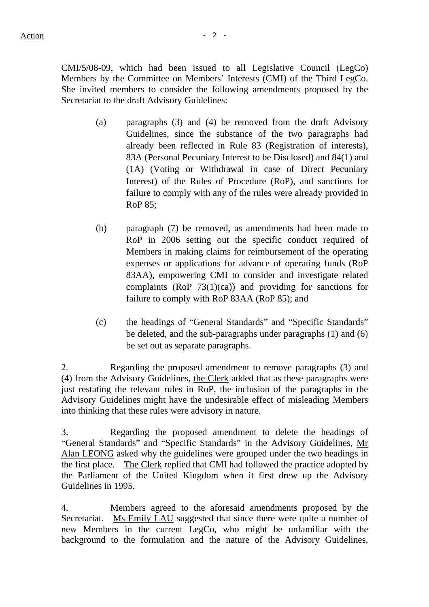CMI/5/08-09, which had been issued to all Legislative Council (LegCo) Members by the Committee on Members' Interests (CMI) of the Third LegCo. She invited members to consider the following amendments proposed by the Secretariat to the draft Advisory Guidelines:

- (a) paragraphs (3) and (4) be removed from the draft Advisory Guidelines, since the substance of the two paragraphs had already been reflected in Rule 83 (Registration of interests), 83A (Personal Pecuniary Interest to be Disclosed) and 84(1) and (1A) (Voting or Withdrawal in case of Direct Pecuniary Interest) of the Rules of Procedure (RoP), and sanctions for failure to comply with any of the rules were already provided in RoP 85;
- (b) paragraph (7) be removed, as amendments had been made to RoP in 2006 setting out the specific conduct required of Members in making claims for reimbursement of the operating expenses or applications for advance of operating funds (RoP 83AA), empowering CMI to consider and investigate related complaints (RoP 73(1)(ca)) and providing for sanctions for failure to comply with RoP 83AA (RoP 85); and
- (c) the headings of "General Standards" and "Specific Standards" be deleted, and the sub-paragraphs under paragraphs (1) and (6) be set out as separate paragraphs.

2. Regarding the proposed amendment to remove paragraphs (3) and (4) from the Advisory Guidelines, the Clerk added that as these paragraphs were just restating the relevant rules in RoP, the inclusion of the paragraphs in the Advisory Guidelines might have the undesirable effect of misleading Members into thinking that these rules were advisory in nature.

3. Regarding the proposed amendment to delete the headings of "General Standards" and "Specific Standards" in the Advisory Guidelines, Mr Alan LEONG asked why the guidelines were grouped under the two headings in the first place. The Clerk replied that CMI had followed the practice adopted by the Parliament of the United Kingdom when it first drew up the Advisory Guidelines in 1995.

4. Members agreed to the aforesaid amendments proposed by the Secretariat. Ms Emily LAU suggested that since there were quite a number of new Members in the current LegCo, who might be unfamiliar with the background to the formulation and the nature of the Advisory Guidelines,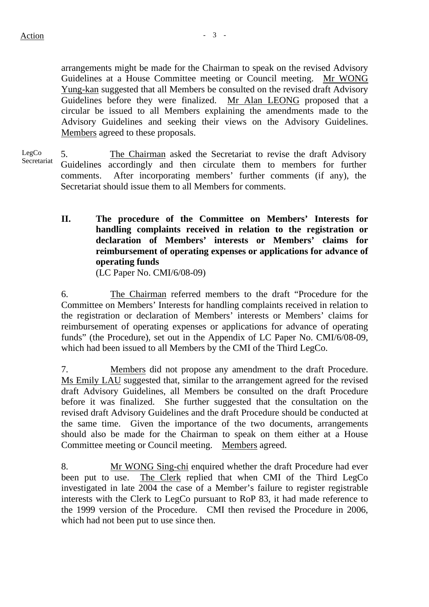arrangements might be made for the Chairman to speak on the revised Advisory Guidelines at a House Committee meeting or Council meeting. Mr WONG Yung-kan suggested that all Members be consulted on the revised draft Advisory Guidelines before they were finalized. Mr Alan LEONG proposed that a circular be issued to all Members explaining the amendments made to the Advisory Guidelines and seeking their views on the Advisory Guidelines. Members agreed to these proposals.

LegCo Secretariat 5. The Chairman asked the Secretariat to revise the draft Advisory Guidelines accordingly and then circulate them to members for further comments. After incorporating members' further comments (if any), the Secretariat should issue them to all Members for comments.

> **II. The procedure of the Committee on Members' Interests for handling complaints received in relation to the registration or declaration of Members' interests or Members' claims for reimbursement of operating expenses or applications for advance of operating funds**

(LC Paper No. CMI/6/08-09)

6. The Chairman referred members to the draft "Procedure for the Committee on Members' Interests for handling complaints received in relation to the registration or declaration of Members' interests or Members' claims for reimbursement of operating expenses or applications for advance of operating funds" (the Procedure), set out in the Appendix of LC Paper No. CMI/6/08-09, which had been issued to all Members by the CMI of the Third LegCo.

7. Members did not propose any amendment to the draft Procedure. Ms Emily LAU suggested that, similar to the arrangement agreed for the revised draft Advisory Guidelines, all Members be consulted on the draft Procedure before it was finalized. She further suggested that the consultation on the revised draft Advisory Guidelines and the draft Procedure should be conducted at the same time. Given the importance of the two documents, arrangements should also be made for the Chairman to speak on them either at a House Committee meeting or Council meeting. Members agreed.

8. Mr WONG Sing-chi enquired whether the draft Procedure had ever been put to use. The Clerk replied that when CMI of the Third LegCo investigated in late 2004 the case of a Member's failure to register registrable interests with the Clerk to LegCo pursuant to RoP 83, it had made reference to the 1999 version of the Procedure. CMI then revised the Procedure in 2006, which had not been put to use since then.